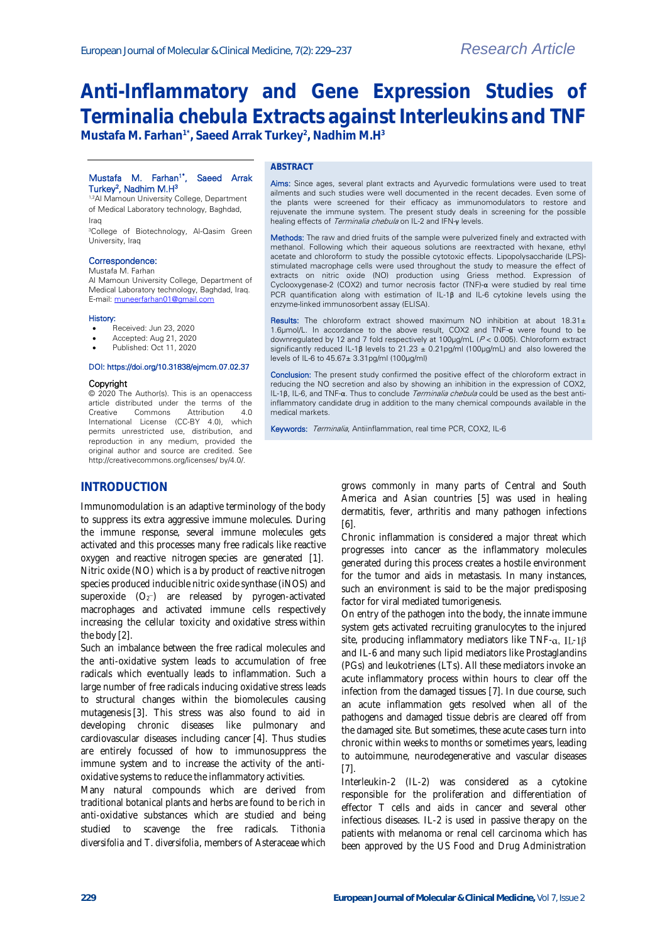# **Anti-Inflammatory and Gene Expression Studies of**  *Terminalia chebula* **Extracts against Interleukins and TNF Mustafa M. Farhan1\*, Saeed Arrak Turkey<sup>2</sup> , Nadhim M.H<sup>3</sup>**

#### Mustafa M. Farhan<sup>1\*</sup>, Saeed Arrak Turkey<sup>2</sup>, Nadhim M.H<sup>3</sup>

1,2Al Mamoun University College, Department of Medical Laboratory technology, Baghdad, Iraq

<sup>3</sup>College of Biotechnology, Al-Qasim Green University, Iraq

#### Correspondence:

Mustafa M. Farhan

Al Mamoun University College, Department of Medical Laboratory technology, Baghdad, Iraq. E-mail[: muneerfarhan01@gmail.com](mailto:muneerfarhan01@gmail.com)

#### History:

- Received: Jun 23, 2020
- Accepted: Aug 21, 2020
- Published: Oct 11, 2020

#### DOI: https://doi.org/10.31838/ejmcm.07.02.37

#### Copyright

© 2020 The Author(s). This is an openaccess article distributed under the terms of the<br>Creative Commons Attribution 4.0 Creative Commons Attribution 4.0 International License (CC-BY 4.0), which permits unrestricted use, distribution, and reproduction in any medium, provided the original author and source are credited. See http://creativecommons.org/licenses/ by/4.0/.

#### **ABSTRACT**

Aims: Since ages, several plant extracts and Ayurvedic formulations were used to treat ailments and such studies were well documented in the recent decades. Even some of the plants were screened for their efficacy as immunomodulators to restore and rejuvenate the immune system. The present study deals in screening for the possible healing effects of Terminalia chebula on IL-2 and IFN-γ levels.

Methods: The raw and dried fruits of the sample were pulverized finely and extracted with methanol. Following which their aqueous solutions are reextracted with hexane, ethyl acetate and chloroform to study the possible cytotoxic effects. Lipopolysaccharide (LPS) stimulated macrophage cells were used throughout the study to measure the effect of extracts on nitric oxide (NO) production using Griess method. Expression of Cyclooxygenase-2 (COX2) and tumor necrosis factor (TNF)-α were studied by real time PCR quantification along with estimation of IL-1β and IL-6 cytokine levels using the enzyme-linked immunosorbent assay (ELISA).

Results: The chloroform extract showed maximum NO inhibition at about  $18.31 \pm$ 1.6μmol/L. In accordance to the above result, COX2 and TNF-α were found to be downregulated by 12 and 7 fold respectively at 100μg/mL (P < 0.005). Chloroform extract significantly reduced IL-1β levels to 21.23 ± 0.21pg/ml (100μg/mL) and also lowered the levels of IL-6 to 45.67± 3.31pg/ml (100μg/ml)

Conclusion: The present study confirmed the positive effect of the chloroform extract in reducing the NO secretion and also by showing an inhibition in the expression of COX2, IL-1β, IL-6, and TNF-α. Thus to conclude Terminalia chebula could be used as the best antiinflammatory candidate drug in addition to the many chemical compounds available in the medical markets.

Keywords: Terminalia, Antiinflammation, real time PCR, COX2, IL-6

## **INTRODUCTION**

Immunomodulation is an adaptive terminology of the body to suppress its extra aggressive immune molecules. During the immune response, several immune molecules gets activated and this processes many free radicals like reactive oxygen and [reactive nitrogen](https://www.sciencedirect.com/topics/biochemistry-genetics-and-molecular-biology/reactive-nitrogen) species are generated [1]. [Nitric oxide](https://www.sciencedirect.com/topics/biochemistry-genetics-and-molecular-biology/nitric-oxide) (NO) which is a by product of reactive nitrogen species produced inducible nitric oxide synthase (iNOS) and superoxide  $(O_2^-)$  are released by pyrogen-activated macrophages and activated immune cells respectively increasing the cellular toxicity and [oxidative stress](https://www.sciencedirect.com/topics/biochemistry-genetics-and-molecular-biology/oxidative-stress) within the body [2].

Such an imbalance between the free radical molecules and the anti-oxidative system leads to accumulation of free radicals which eventually leads to inflammation. Such a large number of free radicals inducing oxidative stress leads to structural changes within the biomolecules causing [mutagenesis](https://www.sciencedirect.com/topics/biochemistry-genetics-and-molecular-biology/mutagenesis) [3]. This stress was also found to aid in developing chronic diseases like pulmonary and cardiovascular diseases including cancer [4]. Thus studies are entirely focussed of how to immunosuppress the immune system and to increase the activity of the antioxidative systems to reduce the inflammatory activities.

Many natural compounds which are derived from traditional botanical plants and herbs are found to be rich in anti-oxidative substances which are studied and being studied to scavenge the free radicals. *Tithonia diversifolia* and *T. diversifolia*, members o[f Asteraceae](https://www.sciencedirect.com/topics/biochemistry-genetics-and-molecular-biology/asteraceae) which

grows commonly in many parts of Central and South America and Asian countries [5] was used in healing dermatitis, fever, arthritis and many pathogen infections [6].

Chronic inflammation is considered a major threat which progresses into cancer as the inflammatory molecules generated during this process creates a hostile environment for the tumor and aids in metastasis. In many instances, such an environment is said to be the major predisposing factor for viral mediated tumorigenesis.

On entry of the pathogen into the body, the innate immune system gets activated recruiting granulocytes to the injured site, producing inflammatory mediators like TNF- $\alpha$ , IL-1 $\beta$ and IL-6 and many such lipid mediators like Prostaglandins (PGs) and leukotrienes (LTs). All these mediators invoke an acute inflammatory process within hours to clear off the infection from the damaged tissues [7]. In due course, such an acute inflammation gets resolved when all of the pathogens and damaged tissue debris are cleared off from the damaged site. But sometimes, these acute cases turn into chronic within weeks to months or sometimes years, leading to autoimmune, neurodegenerative and vascular diseases [7].

Interleukin-2 (IL-2) was considered as a cytokine responsible for the proliferation and differentiation of effector T cells and aids in cancer and several other infectious diseases. IL-2 is used in passive therapy on the patients with melanoma or renal cell carcinoma which has been approved by the US Food and Drug Administration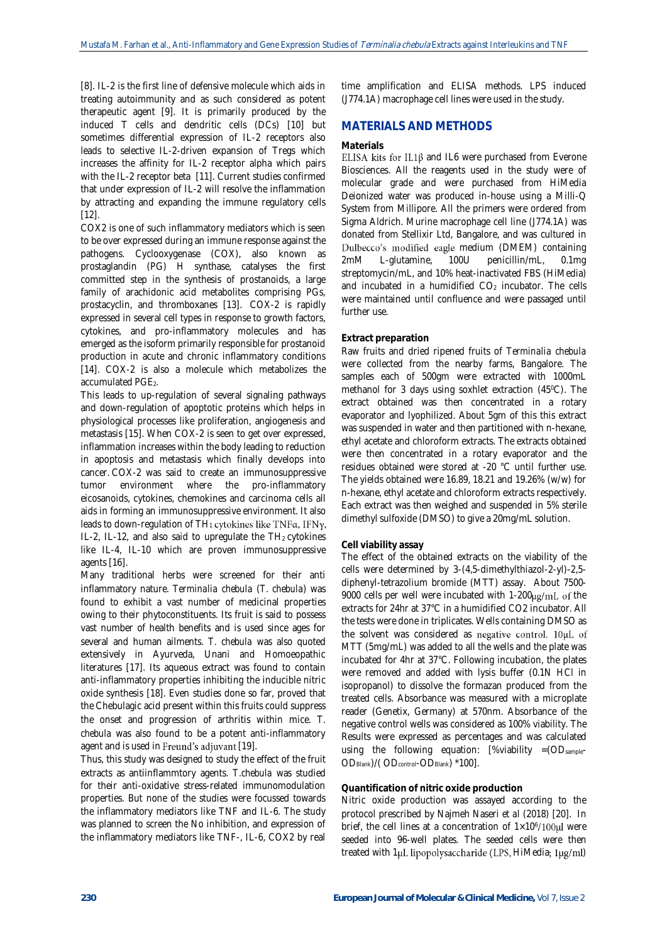[8]. IL-2 is the first line of defensive molecule which aids in treating autoimmunity and as such considered as potent therapeutic agent [9]. It is primarily produced by the induced T cells and dendritic cells (DCs) [10] but sometimes differential expression of IL-2 receptors also leads to selective IL-2-driven expansion of Tregs which increases the affinity for IL-2 receptor alpha which pairs with the IL-2 receptor beta [11]. Current studies confirmed that under expression of IL-2 will resolve the inflammation by attracting and expanding the immune regulatory cells [12].

COX2 is one of such inflammatory mediators which is seen to be over expressed during an immune response against the pathogens. Cyclooxygenase (COX), also known as prostaglandin (PG) H synthase, catalyses the first committed step in the synthesis of prostanoids, a large family of arachidonic acid metabolites comprising PGs, prostacyclin, and thromboxanes [13]. COX-2 is rapidly expressed in several cell types in response to growth factors, cytokines, and pro-inflammatory molecules and has emerged as the isoform primarily responsible for prostanoid production in acute and chronic inflammatory conditions [14]. COX-2 is also a molecule which metabolizes the accumulated PGE<sub>2</sub>.

This leads to up-regulation of several signaling pathways and down-regulation of apoptotic proteins which helps in physiological processes like proliferation, angiogenesis and metastasis [15]. When COX-2 is seen to get over expressed, inflammation increases within the body leading to reduction in apoptosis and metastasis which finally develops into cancer. COX-2 was said to create an immunosuppressive tumor environment where the pro-inflammatory eicosanoids, cytokines, chemokines and carcinoma cells all aids in forming an immunosuppressive environment. It also leads to down-regulation of  $TH_1$  cytokines like TNF $\alpha$ , IFN $\gamma$ , IL-2, IL-12, and also said to upregulate the  $TH_2$  cytokines like IL-4, IL-10 which are proven immunosuppressive agents [16].

Many traditional herbs were screened for their anti inflammatory nature. *Terminalia chebula* (*T. chebula*) was found to exhibit a vast number of medicinal properties owing to their phytoconstituents. Its fruit is said to possess vast number of health benefits and is used since ages for several and human ailments. *T. chebula* was also quoted extensively in Ayurveda, Unani and Homoeopathic literatures [17]. Its aqueous extract was found to contain anti-inflammatory properties inhibiting the inducible nitric oxide synthesis [18]. Even studies done so far, proved that the Chebulagic acid present within this fruits could suppress the onset and progression of arthritis within mice. *T. chebula* was also found to be a potent anti-inflammatory agent and is used in Freund's adjuvant [19].

Thus, this study was designed to study the effect of the fruit extracts as antiinflammtory agents. *T.chebula* was studied for their anti-oxidative stress-related immunomodulation properties. But none of the studies were focussed towards the inflammatory mediators like TNF and IL-6. The study was planned to screen the No inhibition, and expression of the inflammatory mediators like TNF-, IL-6, COX2 by real

time amplification and ELISA methods. LPS induced (J774.1A) macrophage cell lines were used in the study.

## **MATERIALS AND METHODS**

#### **Materials**

ELISA kits for IL1 $\beta$  and IL6 were purchased from Everone Biosciences. All the reagents used in the study were of molecular grade and were purchased from HiMedia Deionized water was produced in-house using a Milli-Q System from Millipore. All the primers were ordered from Sigma Aldrich. Murine macrophage cell line (J774.1A) was donated from Stellixir Ltd, Bangalore, and was cultured in Dulbecco's modified eagle medium (DMEM) containing 2mM L-glutamine, 100U penicillin/mL, 0.1mg streptomycin/mL, and 10% heat-inactivated FBS (HiMedia) and incubated in a humidified  $CO<sub>2</sub>$  incubator. The cells were maintained until confluence and were passaged until further use.

#### **Extract preparation**

Raw fruits and dried ripened fruits of *Terminalia chebula* were collected from the nearby farms, Bangalore. The samples each of 500gm were extracted with 1000mL methanol for 3 days using soxhlet extraction (45<sup>o</sup>C). The extract obtained was then concentrated in a rotary evaporator and lyophilized. About 5gm of this this extract was suspended in water and then partitioned with n-hexane, ethyl acetate and chloroform extracts. The extracts obtained were then concentrated in a rotary evaporator and the residues obtained were stored at -20 °C until further use. The yields obtained were 16.89, 18.21 and 19.26% (w/w) for n-hexane, ethyl acetate and chloroform extracts respectively. Each extract was then weighed and suspended in 5% sterile dimethyl sulfoxide (DMSO) to give a 20mg/mL solution.

## **Cell viability assay**

The effect of the obtained extracts on the viability of the cells were determined by 3-(4,5-dimethylthiazol-2-yl)-2,5 diphenyl-tetrazolium bromide (MTT) assay. About 7500- 9000 cells per well were incubated with  $1-200\mu g/mL$  of the extracts for 24hr at 37°C in a humidified CO2 incubator. All the tests were done in triplicates. Wells containing DMSO as the solvent was considered as negative control.  $10\mu L$  of MTT (5mg/mL) was added to all the wells and the plate was incubated for 4hr at 37°C. Following incubation, the plates were removed and added with lysis buffer (0.1N HCl in isopropanol) to dissolve the formazan produced from the treated cells. Absorbance was measured with a microplate reader (Genetix, Germany) at 570nm. Absorbance of the negative control wells was considered as 100% viability. The Results were expressed as percentages and was calculated using the following equation:  $[%width] = (OD_{sample} -$ OD<sub>Blank</sub>)/(OD<sub>control</sub>-OD<sub>Blank</sub>) \*100].

#### **Quantification of nitric oxide production**

Nitric oxide production was assayed according to the protocol prescribed by Najmeh Naseri *et al* (2018) [20]. In brief, the cell lines at a concentration of  $1\times10^{6}/100 \mu l$  were seeded into 96-well plates. The seeded cells were then treated with  $1 \mu L$  lipopolysaccharide (LPS, HiMedia;  $1 \mu g/ml$ )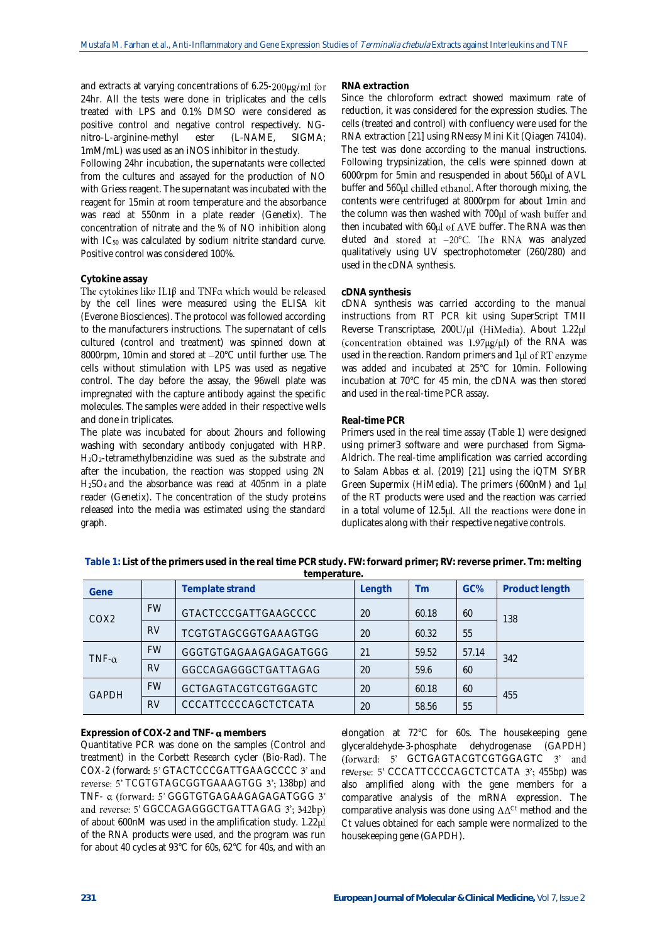and extracts at varying concentrations of 6.25-200µg/ml for 24hr. All the tests were done in triplicates and the cells treated with LPS and 0.1% DMSO were considered as positive control and negative control respectively. NGnitro-L-arginine-methyl ester (L-NAME, SIGMA; 1mM/mL) was used as an iNOS inhibitor in the study.

Following 24hr incubation, the supernatants were collected from the cultures and assayed for the production of NO with Griess reagent. The supernatant was incubated with the reagent for 15min at room temperature and the absorbance was read at 550nm in a plate reader (Genetix). The concentration of nitrate and the % of NO inhibition along with IC<sub>50</sub> was calculated by sodium nitrite standard curve. Positive control was considered 100%.

## **Cytokine assay**

The cytokines like IL1 $\beta$  and TNF $\alpha$  which would be released by the cell lines were measured using the ELISA kit (Everone Biosciences). The protocol was followed according to the manufacturers instructions. The supernatant of cells cultured (control and treatment) was spinned down at 8000rpm, 10min and stored at -20°C until further use. The cells without stimulation with LPS was used as negative control. The day before the assay, the 96well plate was impregnated with the capture antibody against the specific molecules. The samples were added in their respective wells and done in triplicates.

The plate was incubated for about 2hours and following washing with secondary antibody conjugated with HRP. H2O2-tetramethylbenzidine was sued as the substrate and after the incubation, the reaction was stopped using 2N H2SO<sup>4</sup> and the absorbance was read at 405nm in a plate reader (Genetix). The concentration of the study proteins released into the media was estimated using the standard graph.

#### **RNA extraction**

Since the chloroform extract showed maximum rate of reduction, it was considered for the expression studies. The cells (treated and control) with confluency were used for the RNA extraction [21] using RNeasy Mini Kit (Qiagen 74104). The test was done according to the manual instructions. Following trypsinization, the cells were spinned down at 6000rpm for 5min and resuspended in about 560ul of AVL buffer and 560µl chilled ethanol. After thorough mixing, the contents were centrifuged at 8000rpm for about 1min and the column was then washed with 700µl of wash buffer and then incubated with 60ul of AVE buffer. The RNA was then eluted and stored at  $-20^{\circ}$ C. The RNA was analyzed qualitatively using UV spectrophotometer (260/280) and used in the cDNA synthesis.

#### **cDNA synthesis**

cDNA synthesis was carried according to the manual instructions from RT PCR kit using SuperScript TMII Reverse Transcriptase, 200U/µl (HiMedia). About 1.22µl (concentration obtained was  $1.97\mu g/\mu l$ ) of the RNA was used in the reaction. Random primers and 1µl of RT enzyme was added and incubated at 25°C for 10min. Following incubation at 70°C for 45 min, the cDNA was then stored and used in the real-time PCR assay.

#### **Real-time PCR**

Primers used in the real time assay (Table 1) were designed using primer3 software and were purchased from Sigma-Aldrich. The real-time amplification was carried according to Salam Abbas *et al*. (2019) [21] using the iQTM SYBR Green Supermix (HiMedia). The primers (600nM) and 1 of the RT products were used and the reaction was carried in a total volume of 12.5µl. All the reactions were done in duplicates along with their respective negative controls.

| Gene         |           | Template strand       | Length | Tm    | GC%   | Product length |
|--------------|-----------|-----------------------|--------|-------|-------|----------------|
| COX2         | <b>FW</b> | GTACTCCCGATTGAAGCCCC  | 20     | 60.18 | 60    | 138            |
|              | <b>RV</b> | TCGTGTAGCGGTGAAAGTGG  | 20     | 60.32 | 55    |                |
| $TNF-\alpha$ | <b>FW</b> | GGGTGTGAGAAGAGAGATGGG | 21     | 59.52 | 57.14 | 342            |
|              | <b>RV</b> | GGCCAGAGGGCTGATTAGAG  | 20     | 59.6  | 60    |                |
| <b>GAPDH</b> | <b>FW</b> | GCTGAGTACGTCGTGGAGTC  | 20     | 60.18 | 60    | 455            |
|              | <b>RV</b> | CCCATTCCCCAGCTCTCATA  | 20     | 58.56 | 55    |                |

**Table 1: List of the primers used in the real time PCR study. FW: forward primer; RV: reverse primer. Tm: melting temperature.**

**Expression of COX-2 and TNF- members**

Quantitative PCR was done on the samples (Control and treatment) in the Corbett Research cycler (Bio-Rad). The COX-2 (forward: 5' GTACTCCCGATTGAAGCCCC 3' and reverse: 5' TCGTGTAGCGGTGAAAGTGG 3'; 138bp) and TNF- a (forward: 5' GGGTGTGAGAAGAGAGATGGG 3' and reverse: 5' GGCCAGAGGGCTGATTAGAG 3'; 342bp) of about 600nM was used in the amplification study. 1.22 $\mu$ l of the RNA products were used, and the program was run for about 40 cycles at 93°C for 60s, 62°C for 40s, and with an elongation at 72°C for 60s. The housekeeping gene glyceraldehyde-3-phosphate dehydrogenase (GAPDH) (forward: 5' GCTGAGTACGTCGTGGAGTC 3' and reverse: 5' CCCATTCCCCAGCTCTCATA 3'; 455bp) was also amplified along with the gene members for a comparative analysis of the mRNA expression. The comparative analysis was done using  $\Delta\Delta^{\text{Ct}}$  method and the Ct values obtained for each sample were normalized to the housekeeping gene (GAPDH).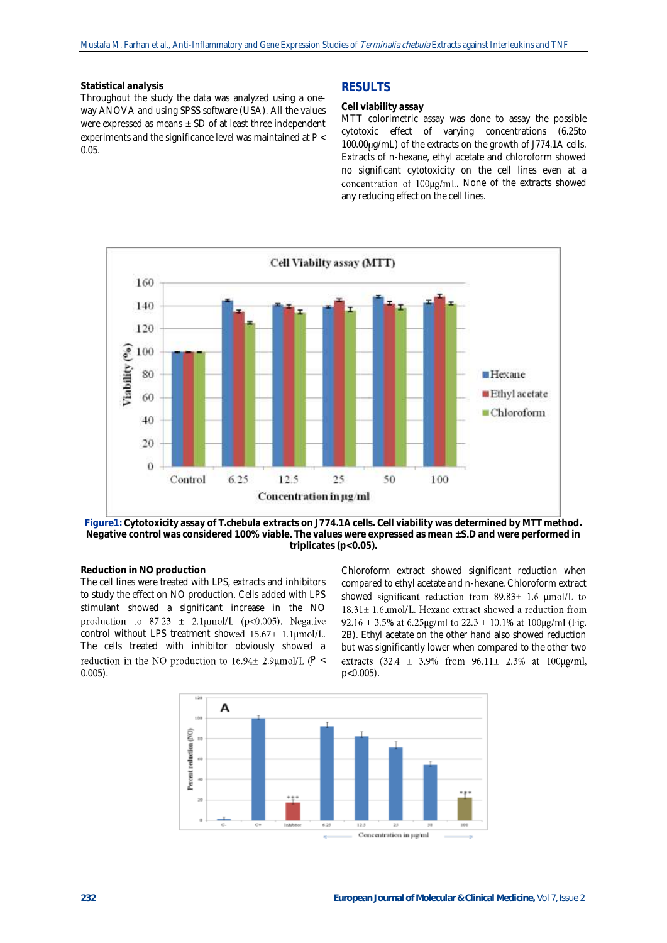#### **Statistical analysis**

Throughout the study the data was analyzed using a oneway ANOVA and using SPSS software (USA). All the values were expressed as means  $\pm$  SD of at least three independent experiments and the significance level was maintained at *P* < 0.05.

## **RESULTS**

## **Cell viability assay**

MTT colorimetric assay was done to assay the possible cytotoxic effect of varying concentrations (6.25to 100.00 ug/mL) of the extracts on the growth of J774.1A cells. Extracts of n-hexane, ethyl acetate and chloroform showed no significant cytotoxicity on the cell lines even at a concentration of 100µg/mL. None of the extracts showed any reducing effect on the cell lines.



**Figure1: Cytotoxicity assay of** *T.chebula* **extracts on J774.1A cells. Cell viability was determined by MTT method. Negative control was considered 100% viable. The values were expressed as mean ±S.D and were performed in triplicates (p<0.05).**

## **Reduction in NO production**

The cell lines were treated with LPS, extracts and inhibitors to study the effect on NO production. Cells added with LPS stimulant showed a significant increase in the NO production to 87.23  $\pm$  2.1µmol/L (p<0.005). Negative control without LPS treatment showed  $15.67 \pm 1.1 \mu$ mol/L. The cells treated with inhibitor obviously showed a reduction in the NO production to  $16.94 \pm 2.9 \mu$ mol/L ( $P <$ 0.005).

Chloroform extract showed significant reduction when compared to ethyl acetate and n-hexane. Chloroform extract showed significant reduction from  $89.83 \pm 1.6 \mu$  mol/L to  $18.31 \pm 1.6$ µmol/L. Hexane extract showed a reduction from 92.16 ± 3.5% at 6.25µg/ml to 22.3 ± 10.1% at 100µg/ml (Fig. 2B). Ethyl acetate on the other hand also showed reduction but was significantly lower when compared to the other two extracts  $(32.4 \pm 3.9\% \text{ from } 96.11 \pm 2.3\% \text{ at } 100 \mu\text{g/ml},$ p<0.005).

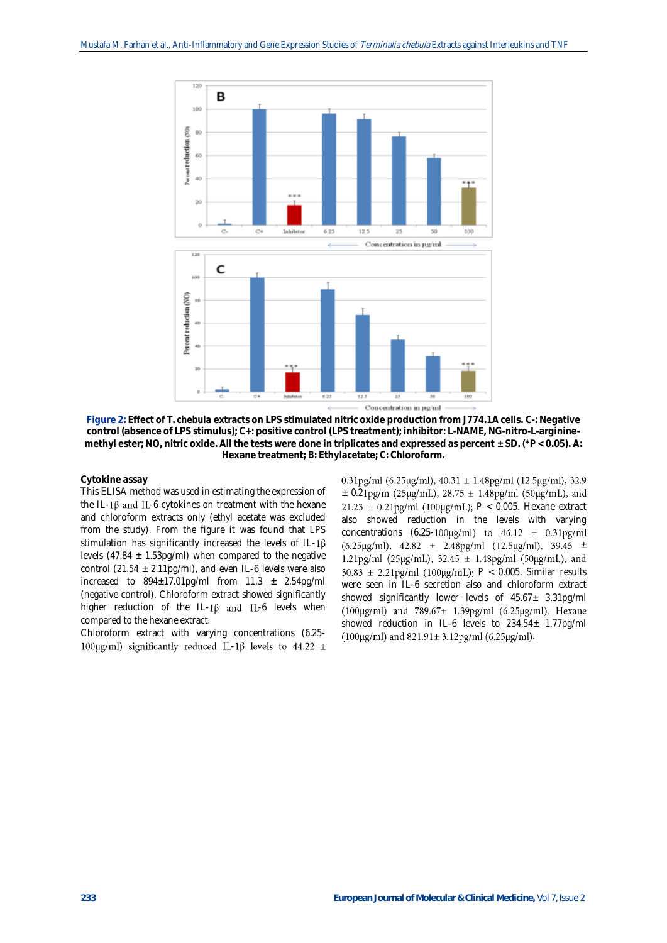

**Figure 2: Effect of** *T. chebula* **extracts on LPS stimulated nitric oxide production from J774.1A cells. C-: Negative control (absence of LPS stimulus); C+: positive control (LPS treatment); inhibitor: L-NAME, NG-nitro-L-argininemethyl ester; NO, nitric oxide. All the tests were done in triplicates and expressed as percent ± SD. (\****P* **< 0.05). A: Hexane treatment; B: Ethylacetate; C: Chloroform.**

#### **Cytokine assay**

This ELISA method was used in estimating the expression of the IL-1 $\beta$  and IL-6 cytokines on treatment with the hexane and chloroform extracts only (ethyl acetate was excluded from the study). From the figure it was found that LPS stimulation has significantly increased the levels of IL-1 $\beta$ levels (47.84  $\pm$  1.53pg/ml) when compared to the negative control (21.54  $\pm$  2.11pg/ml), and even IL-6 levels were also increased to  $894 \pm 17.01$ pg/ml from  $11.3 \pm 2.54$ pg/ml (negative control). Chloroform extract showed significantly higher reduction of the IL-1 $\beta$  and IL-6 levels when compared to the hexane extract.

Chloroform extract with varying concentrations (6.25- 100µg/ml) significantly reduced IL-1 $\beta$  levels to 44.22 ±  $0.31\text{pg/ml}$  (6.25µg/ml),  $40.31 \pm 1.48\text{pg/ml}$  (12.5µg/ml), 32.9  $\pm$  0.21pg/m (25µg/mL), 28.75  $\pm$  1.48pg/ml (50µg/mL), and *P* < 0.005. Hexane extract also showed reduction in the levels with varying concentrations (6.25-100 $\mu$ g/ml) to 46.12  $\pm$  0.31pg/ml  $(6.25 \mu g/ml)$ , 42.82 ± 2.48pg/ml  $(12.5 \mu g/ml)$ , 39.45 ± 1.21pg/ml (25µg/mL), 32.45  $\pm$  1.48pg/ml (50µg/mL), and  $30.83 \pm 2.21$ pg/ml (100µg/mL);  $P < 0.005$ . Similar results were seen in IL-6 secretion also and chloroform extract showed significantly lower levels of  $45.67 \pm 3.31$ pg/ml (100µg/ml) and  $789.67 \pm 1.39$ pg/ml (6.25µg/ml). Hexane showed reduction in IL-6 levels to 234.54± 1.77pg/ml  $(100\mu g/ml)$  and  $821.91 \pm 3.12pg/ml$  (6.25 $\mu g/ml$ ).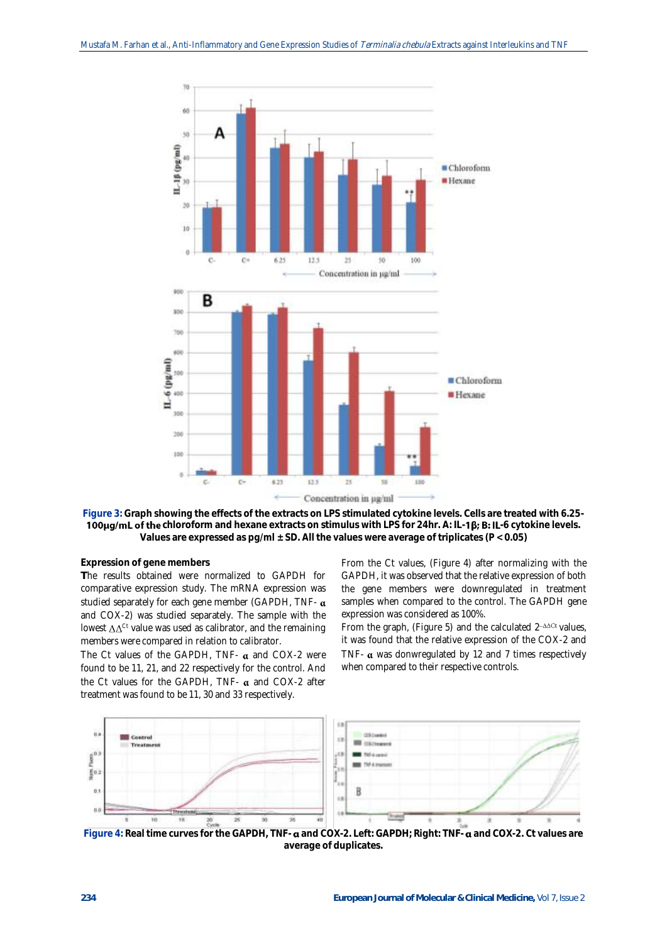

**Figure 3: Graph showing the effects of the extracts on LPS stimulated cytokine levels. Cells are treated with 6.25- 100µg/mL of the** chloroform and hexane extracts on stimulus with LPS for 24hr. A: IL-1**ß; B: IL**-6 cytokine levels. **Values are expressed as pg/ml ± SD. All the values were average of triplicates (***P* **< 0.05)**

#### **Expression of gene members**

**T**he results obtained were normalized to GAPDH for comparative expression study. The mRNA expression was studied separately for each gene member (GAPDH, TNF- $\alpha$ ) and COX-2) was studied separately. The sample with the lowest  $\Delta\Delta^{\text{Ct}}$  value was used as calibrator, and the remaining members were compared in relation to calibrator.

The Ct values of the GAPDH, TNF-  $\alpha$  and COX-2 were found to be 11, 21, and 22 respectively for the control. And the Ct values for the GAPDH, TNF-  $\alpha$  and COX-2 after treatment was found to be 11, 30 and 33 respectively.

From the Ct values, (Figure 4) after normalizing with the GAPDH, it was observed that the relative expression of both the gene members were downregulated in treatment samples when compared to the control. The GAPDH gene expression was considered as 100%.

From the graph, (Figure 5) and the calculated  $2$ <sup>- $\triangle\triangle C$ r values,</sup> it was found that the relative expression of the COX-2 and TNF- $\alpha$  was donwregulated by 12 and 7 times respectively when compared to their respective controls.



 **Figure 4: Real time curves for the GAPDH, TNF- and COX-2. Left: GAPDH; Right: TNF- and COX-2. Ct values are average of duplicates.**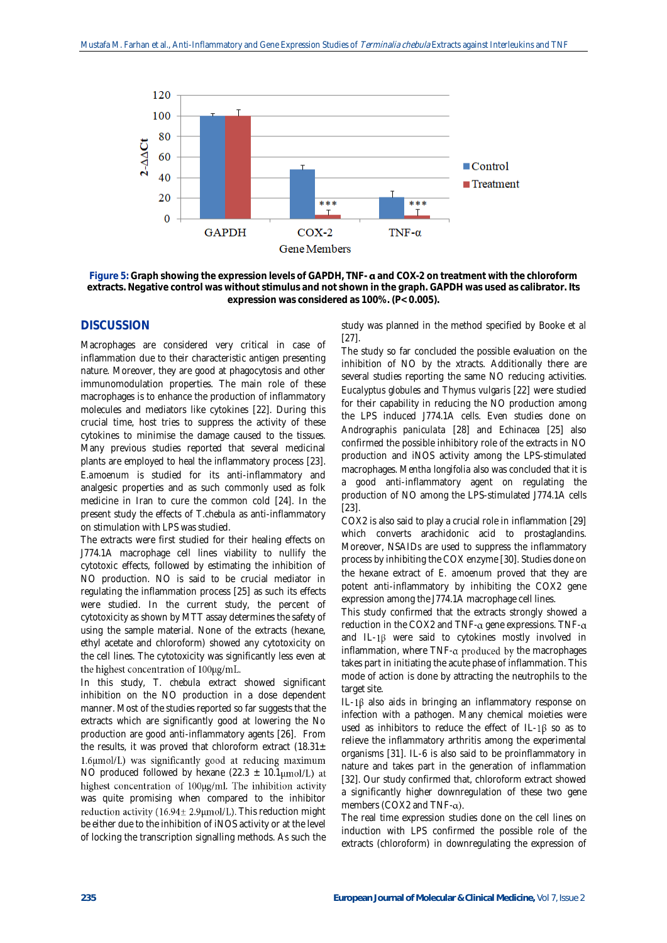

**Figure 5: Graph showing the expression levels of GAPDH, TNF- and COX-2 on treatment with the chloroform extracts. Negative control was without stimulus and not shown in the graph. GAPDH was used as calibrator. Its expression was considered as 100%. (***P***< 0.005).**

# **DISCUSSION**

Macrophages are considered very critical in case of inflammation due to their characteristic antigen presenting nature. Moreover, they are good at phagocytosis and other immunomodulation properties. The main role of these macrophages is to enhance the production of inflammatory molecules and mediators like cytokines [22]. During this crucial time, host tries to suppress the activity of these cytokines to minimise the damage caused to the tissues. Many previous studies reported that several medicinal plants are employed to heal the inflammatory process [23]. *E.amoenum* is studied for its anti-inflammatory and analgesic properties and as such commonly used as folk medicine in Iran to cure the common cold [24]. In the present study the effects of *T.chebula* as anti-inflammatory on stimulation with LPS was studied.

The extracts were first studied for their healing effects on J774.1A macrophage cell lines viability to nullify the cytotoxic effects, followed by estimating the inhibition of NO production. NO is said to be crucial mediator in regulating the inflammation process [25] as such its effects were studied. In the current study, the percent of cytotoxicity as shown by MTT assay determines the safety of using the sample material. None of the extracts (hexane, ethyl acetate and chloroform) showed any cytotoxicity on the cell lines. The cytotoxicity was significantly less even at the highest concentration of 100µg/mL.

In this study, *T. chebula* extract showed significant inhibition on the NO production in a dose dependent manner. Most of the studies reported so far suggests that the extracts which are significantly good at lowering the No production are good anti-inflammatory agents [26]. From the results, it was proved that chloroform extract  $(18.31 \pm$ 1.6µmol/L) was significantly good at reducing maximum NO produced followed by hexane (22.3  $\pm$  10.1 $\mu$ mol/L) at highest concentration of 100µg/ml. The inhibition activity was quite promising when compared to the inhibitor reduction activity (16.94 $\pm$  2.9 $\mu$ mol/L). This reduction might be either due to the inhibition of iNOS activity or at the level of locking the transcription signalling methods. As such the

study was planned in the method specified by Booke *et al* [27].

The study so far concluded the possible evaluation on the inhibition of NO by the xtracts. Additionally there are several studies reporting the same NO reducing activities. *Eucalyptus globules* and *Thymus vulgaris* [22] were studied for their capability in reducing the NO production among the LPS induced J774.1A cells. Even studies done on *Andrographis paniculata* [28] and *Echinacea* [25] also confirmed the possible inhibitory role of the extracts in NO production and iNOS activity among the LPS-stimulated macrophages. *Mentha longifolia* also was concluded that it is a good anti-inflammatory agent on regulating the production of NO among the LPS-stimulated J774.1A cells [23].

COX2 is also said to play a crucial role in inflammation [29] which converts arachidonic acid to prostaglandins. Moreover, NSAIDs are used to suppress the inflammatory process by inhibiting the COX enzyme [30]. Studies done on the hexane extract of *E. amoenum* proved that they are potent anti-inflammatory by inhibiting the COX2 gene expression among the J774.1A macrophage cell lines.

This study confirmed that the extracts strongly showed a reduction in the COX2 and TNF- $\alpha$  gene expressions. TNF- $\alpha$ and IL-1 $\beta$  were said to cytokines mostly involved in inflammation, where  $TNF$ - $\alpha$  produced by the macrophages takes part in initiating the acute phase of inflammation. This mode of action is done by attracting the neutrophils to the target site.

IL-1 $\beta$  also aids in bringing an inflammatory response on infection with a pathogen. Many chemical moieties were used as inhibitors to reduce the effect of IL-1 $\beta$  so as to relieve the inflammatory arthritis among the experimental organisms [31]. IL-6 is also said to be proinflammatory in nature and takes part in the generation of inflammation [32]. Our study confirmed that, chloroform extract showed a significantly higher downregulation of these two gene members (COX2 and TNF- $\alpha$ ).

The real time expression studies done on the cell lines on induction with LPS confirmed the possible role of the extracts (chloroform) in downregulating the expression of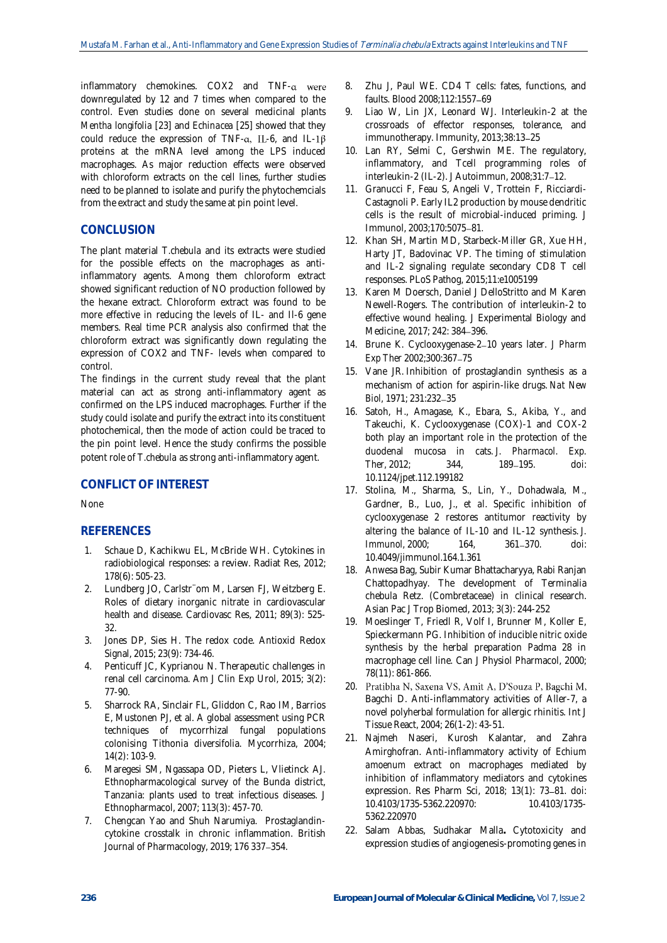inflammatory chemokines. COX2 and TNF-a were downregulated by 12 and 7 times when compared to the control. Even studies done on several medicinal plants *Mentha longifolia* [23] and *Echinacea* [25] showed that they could reduce the expression of TNF- $\alpha$ , IL-6, and IL-1 $\beta$ proteins at the mRNA level among the LPS induced macrophages. As major reduction effects were observed with chloroform extracts on the cell lines, further studies need to be planned to isolate and purify the phytochemcials from the extract and study the same at pin point level.

# **CONCLUSION**

The plant material *T.chebula* and its extracts were studied for the possible effects on the macrophages as antiinflammatory agents. Among them chloroform extract showed significant reduction of NO production followed by the hexane extract. Chloroform extract was found to be more effective in reducing the levels of IL- and Il-6 gene members. Real time PCR analysis also confirmed that the chloroform extract was significantly down regulating the expression of COX2 and TNF- levels when compared to control.

The findings in the current study reveal that the plant material can act as strong anti-inflammatory agent as confirmed on the LPS induced macrophages. Further if the study could isolate and purify the extract into its constituent photochemical, then the mode of action could be traced to the pin point level. Hence the study confirms the possible potent role of *T.chebula* as strong anti-inflammatory agent.

# **CONFLICT OF INTEREST**

None

## **REFERENCES**

- 1. Schaue D, Kachikwu EL, McBride WH. Cytokines in radiobiological responses: a review. Radiat Res, 2012; 178(6): 505-23.
- 2. Lundberg JO, Carlstr¨om M, Larsen FJ, Weitzberg E. Roles of dietary inorganic nitrate in cardiovascular health and disease. Cardiovasc Res, 2011; 89(3): 525- 32.
- 3. Jones DP, Sies H. The redox code. Antioxid Redox Signal, 2015; 23(9): 734-46.
- 4. Penticuff JC, Kyprianou N. Therapeutic challenges in renal cell carcinoma. Am J Clin Exp Urol, 2015; 3(2): 77-90.
- 5. Sharrock RA, Sinclair FL, Gliddon C, Rao IM, Barrios E, Mustonen PJ, et al. A global assessment using PCR techniques of mycorrhizal fungal populations colonising Tithonia diversifolia. Mycorrhiza, 2004; 14(2): 103-9.
- 6. Maregesi SM, Ngassapa OD, Pieters L, Vlietinck AJ. Ethnopharmacological survey of the Bunda district, Tanzania: plants used to treat infectious diseases. J Ethnopharmacol, 2007; 113(3): 457-70.
- 7. Chengcan Yao and Shuh Narumiya. Prostaglandincytokine crosstalk in chronic inflammation. British Journal of Pharmacology, 2019; 176 337-354.
- 8. Zhu J, Paul WE. CD4 T cells: fates, functions, and faults. Blood 2008;112:1557-69
- 9. Liao W, Lin JX, Leonard WJ. Interleukin-2 at the crossroads of effector responses, tolerance, and immunotherapy. Immunity, 2013;38:13-25
- 10. Lan RY, Selmi C, Gershwin ME. The regulatory, inflammatory, and Tcell programming roles of interleukin-2 (IL-2). J Autoimmun, 2008;31:7 12.
- 11. Granucci F, Feau S, Angeli V, Trottein F, Ricciardi-Castagnoli P. Early IL2 production by mouse dendritic cells is the result of microbial-induced priming. J Immunol, 2003;170:5075-81.
- 12. Khan SH, Martin MD, Starbeck-Miller GR, Xue HH, Harty JT, Badovinac VP. The timing of stimulation and IL-2 signaling regulate secondary CD8 T cell responses. PLoS Pathog, 2015;11:e1005199
- 13. Karen M Doersch, Daniel J DelloStritto and M Karen Newell-Rogers. The contribution of interleukin-2 to effective wound healing. J Experimental Biology and Medicine, 2017; 242; 384-396.
- 14. Brune K. Cyclooxygenase-2 10 years later. *J Pharm Exp Ther* 2002;300:367-75
- 15. Vane JR. Inhibition of prostaglandin synthesis as a mechanism of action for aspirin-like drugs. *Nat New Biol,* 1971; 231:232-35
- 16. Satoh, H., Amagase, K., Ebara, S., Akiba, Y., and Takeuchi, K. Cyclooxygenase (COX)-1 and COX-2 both play an important role in the protection of the duodenal mucosa in cats. *J. Pharmacol. Exp. Ther,* 2012; 344, 189 195. doi: 10.1124/jpet.112.199182
- 17. Stolina, M., Sharma, S., Lin, Y., Dohadwala, M., Gardner, B., Luo, J., *et al*. Specific inhibition of cyclooxygenase 2 restores antitumor reactivity by altering the balance of IL-10 and IL-12 synthesis. *J. Immunol,* 2000; 164, 361-370. doi: 10.4049/jimmunol.164.1.361
- 18. Anwesa Bag, Subir Kumar Bhattacharyya, Rabi Ranjan Chattopadhyay. The development of Terminalia chebula Retz. (Combretaceae) in clinical research. Asian Pac J Trop Biomed, 2013; 3(3): 244-252
- 19. Moeslinger T, Friedl R, Volf I, Brunner M, Koller E, Spieckermann PG. Inhibition of inducible nitric oxide synthesis by the herbal preparation Padma 28 in macrophage cell line. Can J Physiol Pharmacol, 2000; 78(11): 861-866.
- 20. Pratibha N, Saxena VS, Amit A, D'Souza P, Bagchi M, Bagchi D. Anti-inflammatory activities of Aller-7, a novel polyherbal formulation for allergic rhinitis. Int J Tissue React, 2004; 26(1-2): 43-51.
- 21. Najmeh Naseri, Kurosh Kalantar, and Zahra Amirghofran. Anti-inflammatory activity of *Echium amoenum* extract on macrophages mediated by inhibition of inflammatory mediators and cytokines expression. Res Pharm Sci, 2018; 13(1): 73-81. doi:<br>10.4103/1735-5362.220970: 10.4103/1735-10.4103/1735-5362.220970: 10.4103/1735- 5362.220970
- 22. Salam Abbas, Sudhakar Malla**.** Cytotoxicity and expression studies of angiogenesis-promoting genes in